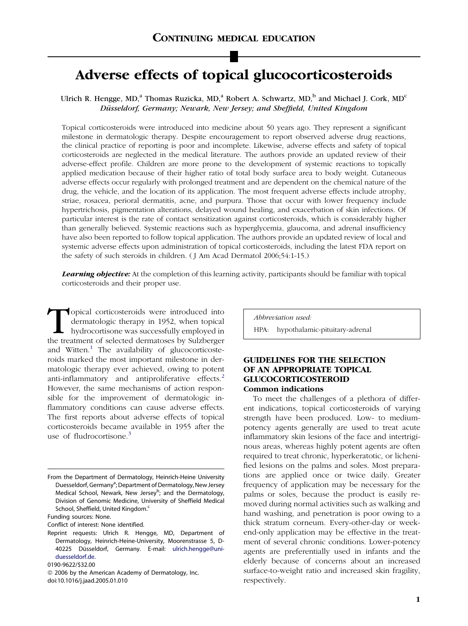# Adverse effects of topical glucocorticosteroids

Ulrich R. Hengge, MD,<sup>a</sup> Thomas Ruzicka, MD,<sup>a</sup> Robert A. Schwartz, MD,<sup>b</sup> and Michael J. Cork, MD<sup>c</sup> Düsseldorf, Germany; Newark, New Jersey; and Sheffield, United Kingdom

Topical corticosteroids were introduced into medicine about 50 years ago. They represent a significant milestone in dermatologic therapy. Despite encouragement to report observed adverse drug reactions, the clinical practice of reporting is poor and incomplete. Likewise, adverse effects and safety of topical corticosteroids are neglected in the medical literature. The authors provide an updated review of their adverse-effect profile. Children are more prone to the development of systemic reactions to topically applied medication because of their higher ratio of total body surface area to body weight. Cutaneous adverse effects occur regularly with prolonged treatment and are dependent on the chemical nature of the drug, the vehicle, and the location of its application. The most frequent adverse effects include atrophy, striae, rosacea, perioral dermatitis, acne, and purpura. Those that occur with lower frequency include hypertrichosis, pigmentation alterations, delayed wound healing, and exacerbation of skin infections. Of particular interest is the rate of contact sensitization against corticosteroids, which is considerably higher than generally believed. Systemic reactions such as hyperglycemia, glaucoma, and adrenal insufficiency have also been reported to follow topical application. The authors provide an updated review of local and systemic adverse effects upon administration of topical corticosteroids, including the latest FDA report on the safety of such steroids in children. ( J Am Acad Dermatol 2006;54:1-15.)

**Learning objective:** At the completion of this learning activity, participants should be familiar with topical corticosteroids and their proper use.

Topical corticosteroids were introduced into<br>dermatologic therapy in 1952, when topical<br>hydrocortisone was successfully employed in<br>the treatment of selected dermatoses by Sulzberger dermatologic therapy in 1952, when topical hydrocortisone was successfully employed in the treatment of selected dermatoses by Sulzberger and Witten. $<sup>1</sup>$  $<sup>1</sup>$  $<sup>1</sup>$  The availability of glucocorticoste-</sup> roids marked the most important milestone in dermatologic therapy ever achieved, owing to potent anti-inflammatory and antiproliferative effects.<sup>[2](#page-12-0)</sup> However, the same mechanisms of action responsible for the improvement of dermatologic inflammatory conditions can cause adverse effects. The first reports about adverse effects of topical corticosteroids became available in 1955 after the use of fludrocortisone. $3$ 

Funding sources: None.

Conflict of interest: None identified.

Abbreviation used: HPA: hypothalamic-pituitary-adrenal

# GUIDELINES FOR THE SELECTION OF AN APPROPRIATE TOPICAL GLUCOCORTICOSTEROID Common indications

To meet the challenges of a plethora of different indications, topical corticosteroids of varying strength have been produced. Low- to mediumpotency agents generally are used to treat acute inflammatory skin lesions of the face and intertriginous areas, whereas highly potent agents are often required to treat chronic, hyperkeratotic, or lichenified lesions on the palms and soles. Most preparations are applied once or twice daily. Greater frequency of application may be necessary for the palms or soles, because the product is easily removed during normal activities such as walking and hand washing, and penetration is poor owing to a thick stratum corneum. Every-other-day or weekend-only application may be effective in the treatment of several chronic conditions. Lower-potency agents are preferentially used in infants and the elderly because of concerns about an increased surface-to-weight ratio and increased skin fragility, respectively.

From the Department of Dermatology, Heinrich-Heine University Duesseldorf, Germany<sup>a</sup>; Department of Dermatology, New Jersey Medical School, Newark, New Jersey<sup>b</sup>; and the Dermatology, Division of Genomic Medicine, University of Sheffield Medical School, Sheffield, United Kingdom.<sup>c</sup>

Reprint requests: Ulrich R. Hengge, MD, Department of Dermatology, Heinrich-Heine-University, Moorenstrasse 5, D40225 Düsseldorf, Germany. E-mail: [ulrich.hengge@uni](mailto:ulrich.hengge@uni-duesseldorf.de)[duesseldorf.de.](mailto:ulrich.hengge@uni-duesseldorf.de)

<sup>0190-9622/\$32.00</sup>

*ª* 2006 by the American Academy of Dermatology, Inc. doi:10.1016/j.jaad.2005.01.010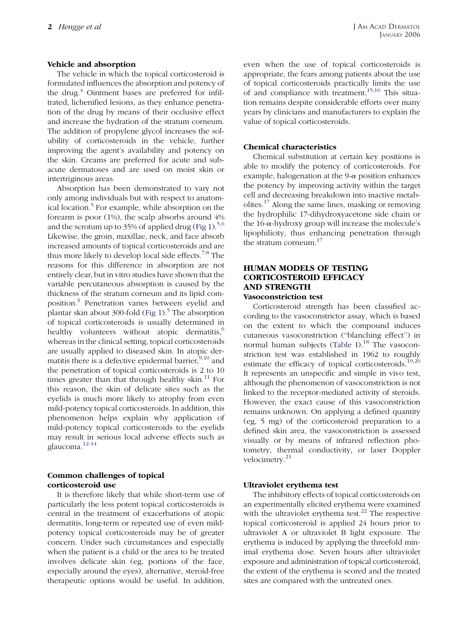# Vehicle and absorption

The vehicle in which the topical corticosteroid is formulated influences the absorption and potency of the drug.<sup>[4](#page-12-0)</sup> Ointment bases are preferred for infiltrated, lichenified lesions, as they enhance penetration of the drug by means of their occlusive effect and increase the hydration of the stratum corneum. The addition of propylene glycol increases the solubility of corticosteroids in the vehicle, further improving the agent's availability and potency on the skin. Creams are preferred for acute and subacute dermatoses and are used on moist skin or intertriginous areas.

Absorption has been demonstrated to vary not only among individuals but with respect to anatom-ical location.<sup>[5](#page-12-0)</sup> For example, while absorption on the forearm is poor (1%), the scalp absorbs around 4% and the scrotum up to 35% of applied drug ([Fig 1\)](#page-2-0).<sup>[5,6](#page-12-0)</sup> Likewise, the groin, maxillae, neck, and face absorb increased amounts of topical corticosteroids and are thus more likely to develop local side effects.<sup>[7,8](#page-12-0)</sup> The reasons for this difference in absorption are not entirely clear, but in vitro studies have shown that the variable percutaneous absorption is caused by the thickness of the stratum corneum and its lipid composition.[5](#page-12-0) Penetration varies between eyelid and plantar skin about 300-fold (Fig  $1$ ).<sup>[5](#page-12-0)</sup> The absorption of topical corticosteroids is usually determined in healthy volunteers without atopic dermatitis, $6\degree$  $6\degree$ whereas in the clinical setting, topical corticosteroids are usually applied to diseased skin. In atopic dermatitis there is a defective epidermal barrier,  $9,10$  and the penetration of topical corticosteroids is 2 to 10 times greater than that through healthy skin. $11$  For this reason, the skin of delicate sites such as the eyelids is much more likely to atrophy from even mild-potency topical corticosteroids. In addition, this phenomenon helps explain why application of mild-potency topical corticosteroids to the eyelids may result in serious local adverse effects such as glaucoma.[12-14](#page-12-0)

# Common challenges of topical corticosteroid use

It is therefore likely that while short-term use of particularly the less potent topical corticosteroids is central in the treatment of exacerbations of atopic dermatitis, long-term or repeated use of even mildpotency topical corticosteroids may be of greater concern. Under such circumstances and especially when the patient is a child or the area to be treated involves delicate skin (eg, portions of the face, especially around the eyes), alternative, steroid-free therapeutic options would be useful. In addition,

even when the use of topical corticosteroids is appropriate, the fears among patients about the use of topical corticosteroids practically limits the use of and compliance with treatment.<sup>[15,16](#page-12-0)</sup> This situation remains despite considerable efforts over many years by clinicians and manufacturers to explain the value of topical corticosteroids.

# Chemical characteristics

Chemical substitution at certain key positions is able to modify the potency of corticosteroids. For example, halogenation at the  $9-\alpha$  position enhances the potency by improving activity within the target cell and decreasing breakdown into inactive metab-olites.<sup>[17](#page-12-0)</sup> Along the same lines, masking or removing the hydrophilic 17-dihydroxyacetone side chain or the  $16$ - $\alpha$ -hydroxy group will increase the molecule's lipophilicity, thus enhancing penetration through the stratum corneum.[17](#page-12-0)

# HUMAN MODELS OF TESTING CORTICOSTEROID EFFICACY AND STRENGTH

# Vasoconstriction test

Corticosteroid strength has been classified according to the vasoconstrictor assay, which is based on the extent to which the compound induces cutaneous vasoconstriction (''blanching effect'') in normal human subjects [\(Table I\)](#page-3-0).<sup>[18](#page-12-0)</sup> The vasoconstriction test was established in 1962 to roughly estimate the efficacy of topical corticosteroids.<sup>[19,20](#page-12-0)</sup> It represents an unspecific and simple in vivo test, although the phenomenon of vasoconstriction is not linked to the receptor-mediated activity of steroids. However, the exact cause of this vasoconstriction remains unknown. On applying a defined quantity (eg, 5 mg) of the corticosteroid preparation to a defined skin area, the vasoconstriction is assessed visually or by means of infrared reflection photometry, thermal conductivity, or laser Doppler velocimetry.<sup>[21](#page-12-0)</sup>

#### Ultraviolet erythema test

The inhibitory effects of topical corticosteroids on an experimentally elicited erythema were examined with the ultraviolet erythema test. $^{22}$  $^{22}$  $^{22}$  The respective topical corticosteroid is applied 24 hours prior to ultraviolet A or ultraviolet B light exposure. The erythema is induced by applying the threefold minimal erythema dose. Seven hours after ultraviolet exposure and administration of topical corticosteroid, the extent of the erythema is scored and the treated sites are compared with the untreated ones.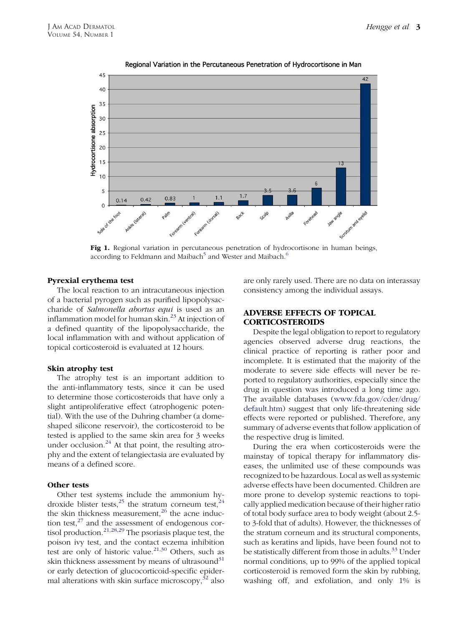<span id="page-2-0"></span>

# Regional Variation in the Percutaneous Penetration of Hydrocortisone in Man

Fig 1. Regional variation in percutaneous penetration of hydrocortisone in human beings, according to Feldmann and Maibach<sup>[5](#page-12-0)</sup> and Wester and Maibach.<sup>[6](#page-12-0)</sup>

#### Pyrexial erythema test

The local reaction to an intracutaneous injection of a bacterial pyrogen such as purified lipopolysaccharide of Salmonella abortus equi is used as an inflammation model for human skin.<sup>[23](#page-12-0)</sup> At injection of a defined quantity of the lipopolysaccharide, the local inflammation with and without application of topical corticosteroid is evaluated at 12 hours.

#### Skin atrophy test

The atrophy test is an important addition to the anti-inflammatory tests, since it can be used to determine those corticosteroids that have only a slight antiproliferative effect (atrophogenic potential). With the use of the Duhring chamber (a domeshaped silicone reservoir), the corticosteroid to be tested is applied to the same skin area for 3 weeks under occlusion. $^{24}$  $^{24}$  $^{24}$  At that point, the resulting atrophy and the extent of telangiectasia are evaluated by means of a defined score.

#### Other tests

Other test systems include the ammonium hy-droxide blister tests, <sup>[25](#page-12-0)</sup> the stratum corneum test, <sup>[24](#page-12-0)</sup> the skin thickness measurement, $26$  the acne induction test, $27$  and the assessment of endogenous cortisol production. $2^{1,28,29}$  The psoriasis plaque test, the poison ivy test, and the contact eczema inhibition test are only of historic value.<sup>[21,30](#page-12-0)</sup> Others, such as skin thickness assessment by means of ultrasound $31$ or early detection of glucocorticoid-specific epidermal alterations with skin surface microscopy,  $32$  also

are only rarely used. There are no data on interassay consistency among the individual assays.

# ADVERSE EFFECTS OF TOPICAL CORTICOSTEROIDS

Despite the legal obligation to report to regulatory agencies observed adverse drug reactions, the clinical practice of reporting is rather poor and incomplete. It is estimated that the majority of the moderate to severe side effects will never be reported to regulatory authorities, especially since the drug in question was introduced a long time ago. The available databases ([www.fda.gov/cder/drug/](http://www.fda.gov/cder/drug/default.htm) [default.htm](http://www.fda.gov/cder/drug/default.htm)) suggest that only life-threatening side effects were reported or published. Therefore, any summary of adverse events that follow application of the respective drug is limited.

During the era when corticosteroids were the mainstay of topical therapy for inflammatory diseases, the unlimited use of these compounds was recognized to be hazardous. Local as well as systemic adverse effects have been documented. Children are more prone to develop systemic reactions to topically applied medication because of their higher ratio of total body surface area to body weight (about 2.5 to 3-fold that of adults). However, the thicknesses of the stratum corneum and its structural components, such as keratins and lipids, have been found not to be statistically different from those in adults.<sup>[33](#page-12-0)</sup> Under normal conditions, up to 99% of the applied topical corticosteroid is removed form the skin by rubbing, washing off, and exfoliation, and only 1% is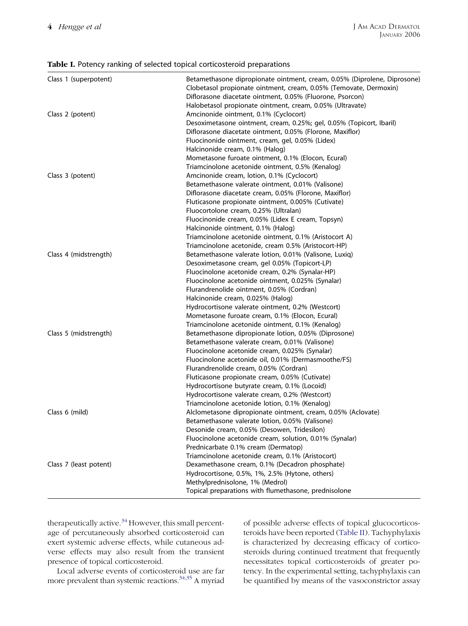#### <span id="page-3-0"></span>Table I. Potency ranking of selected topical corticosteroid preparations

| Class 1 (superpotent)  | Betamethasone dipropionate ointment, cream, 0.05% (Diprolene, Diprosone)<br>Clobetasol propionate ointment, cream, 0.05% (Temovate, Dermoxin)<br>Diflorasone diacetate ointment, 0.05% (Fluorone, Psorcon) |
|------------------------|------------------------------------------------------------------------------------------------------------------------------------------------------------------------------------------------------------|
|                        | Halobetasol propionate ointment, cream, 0.05% (Ultravate)                                                                                                                                                  |
| Class 2 (potent)       | Amcinonide ointment, 0.1% (Cyclocort)                                                                                                                                                                      |
|                        | Desoximetasone ointment, cream, 0.25%; gel, 0.05% (Topicort, Ibaril)                                                                                                                                       |
|                        | Diflorasone diacetate ointment, 0.05% (Florone, Maxiflor)                                                                                                                                                  |
|                        | Fluocinonide ointment, cream, gel, 0.05% (Lidex)                                                                                                                                                           |
|                        | Halcinonide cream, 0.1% (Halog)                                                                                                                                                                            |
|                        | Mometasone furoate ointment, 0.1% (Elocon, Ecural)                                                                                                                                                         |
|                        | Triamcinolone acetonide ointment, 0.5% (Kenalog)                                                                                                                                                           |
| Class 3 (potent)       | Amcinonide cream, lotion, 0.1% (Cyclocort)                                                                                                                                                                 |
|                        | Betamethasone valerate ointment, 0.01% (Valisone)                                                                                                                                                          |
|                        | Diflorasone diacetate cream, 0.05% (Florone, Maxiflor)                                                                                                                                                     |
|                        | Fluticasone propionate ointment, 0.005% (Cutivate)                                                                                                                                                         |
|                        | Fluocortolone cream, 0.25% (Ultralan)                                                                                                                                                                      |
|                        | Fluocinonide cream, 0.05% (Lidex E cream, Topsyn)                                                                                                                                                          |
|                        | Halcinonide ointment, 0.1% (Halog)                                                                                                                                                                         |
|                        | Triamcinolone acetonide ointment, 0.1% (Aristocort A)                                                                                                                                                      |
|                        | Triamcinolone acetonide, cream 0.5% (Aristocort-HP)                                                                                                                                                        |
| Class 4 (midstrength)  | Betamethasone valerate lotion, 0.01% (Valisone, Luxiq)                                                                                                                                                     |
|                        | Desoximetasone cream, gel 0.05% (Topicort-LP)                                                                                                                                                              |
|                        | Fluocinolone acetonide cream, 0.2% (Synalar-HP)                                                                                                                                                            |
|                        | Fluocinolone acetonide ointment, 0.025% (Synalar)                                                                                                                                                          |
|                        | Flurandrenolide ointment, 0.05% (Cordran)                                                                                                                                                                  |
|                        | Halcinonide cream, 0.025% (Halog)                                                                                                                                                                          |
|                        | Hydrocortisone valerate ointment, 0.2% (Westcort)                                                                                                                                                          |
|                        | Mometasone furoate cream, 0.1% (Elocon, Ecural)                                                                                                                                                            |
|                        | Triamcinolone acetonide ointment, 0.1% (Kenalog)                                                                                                                                                           |
| Class 5 (midstrength)  | Betamethasone dipropionate lotion, 0.05% (Diprosone)                                                                                                                                                       |
|                        | Betamethasone valerate cream, 0.01% (Valisone)                                                                                                                                                             |
|                        | Fluocinolone acetonide cream, 0.025% (Synalar)                                                                                                                                                             |
|                        | Fluocinolone acetonide oil, 0.01% (Dermasmoothe/FS)                                                                                                                                                        |
|                        | Flurandrenolide cream, 0.05% (Cordran)                                                                                                                                                                     |
|                        | Fluticasone propionate cream, 0.05% (Cutivate)                                                                                                                                                             |
|                        | Hydrocortisone butyrate cream, 0.1% (Locoid)                                                                                                                                                               |
|                        | Hydrocortisone valerate cream, 0.2% (Westcort)                                                                                                                                                             |
|                        | Triamcinolone acetonide lotion, 0.1% (Kenalog)                                                                                                                                                             |
| Class 6 (mild)         | Alclometasone dipropionate ointment, cream, 0.05% (Aclovate)                                                                                                                                               |
|                        | Betamethasone valerate lotion, 0.05% (Valisone)                                                                                                                                                            |
|                        | Desonide cream, 0.05% (Desowen, Tridesilon)                                                                                                                                                                |
|                        | Fluocinolone acetonide cream, solution, 0.01% (Synalar)                                                                                                                                                    |
|                        | Prednicarbate 0.1% cream (Dermatop)                                                                                                                                                                        |
|                        | Triamcinolone acetonide cream, 0.1% (Aristocort)                                                                                                                                                           |
| Class 7 (least potent) | Dexamethasone cream, 0.1% (Decadron phosphate)                                                                                                                                                             |
|                        | Hydrocortisone, 0.5%, 1%, 2.5% (Hytone, others)                                                                                                                                                            |
|                        | Methylprednisolone, 1% (Medrol)                                                                                                                                                                            |
|                        | Topical preparations with flumethasone, prednisolone                                                                                                                                                       |
|                        |                                                                                                                                                                                                            |

therapeutically active.<sup>[34](#page-12-0)</sup> However, this small percentage of percutaneously absorbed corticosteroid can exert systemic adverse effects, while cutaneous adverse effects may also result from the transient presence of topical corticosteroid.

Local adverse events of corticosteroid use are far more prevalent than systemic reactions. $34,35$  A myriad of possible adverse effects of topical glucocorticosteroids have been reported ([Table II](#page-4-0)). Tachyphylaxis is characterized by decreasing efficacy of corticosteroids during continued treatment that frequently necessitates topical corticosteroids of greater potency. In the experimental setting, tachyphylaxis can be quantified by means of the vasoconstrictor assay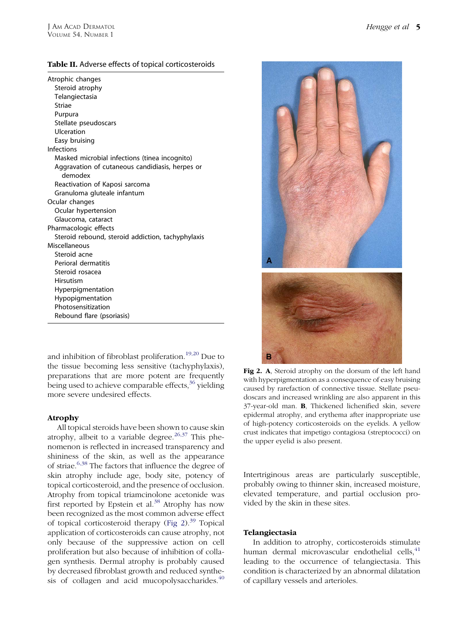<span id="page-4-0"></span>

| Atrophic changes                                  |
|---------------------------------------------------|
| Steroid atrophy                                   |
| Telangiectasia                                    |
| Striae                                            |
| Purpura                                           |
| Stellate pseudoscars                              |
| Ulceration                                        |
| Easy bruising                                     |
| Infections                                        |
| Masked microbial infections (tinea incognito)     |
| Aggravation of cutaneous candidiasis, herpes or   |
| demodex                                           |
| Reactivation of Kaposi sarcoma                    |
| Granuloma gluteale infantum                       |
| Ocular changes                                    |
| Ocular hypertension                               |
| Glaucoma, cataract                                |
| Pharmacologic effects                             |
| Steroid rebound, steroid addiction, tachyphylaxis |
| Miscellaneous                                     |
| Steroid acne                                      |
| Perioral dermatitis                               |
| Steroid rosacea                                   |
| Hirsutism                                         |
| Hyperpigmentation                                 |
| Hypopigmentation                                  |
| Photosensitization                                |
| Rebound flare (psoriasis)                         |

and inhibition of fibroblast proliferation.[19,20](#page-12-0) Due to the tissue becoming less sensitive (tachyphylaxis), preparations that are more potent are frequently being used to achieve comparable effects, $36$  yielding more severe undesired effects.

# Atrophy

All topical steroids have been shown to cause skin atrophy, albeit to a variable degree.<sup>[26,37](#page-12-0)</sup> This phenomenon is reflected in increased transparency and shininess of the skin, as well as the appearance of striae.[6,38](#page-12-0) The factors that influence the degree of skin atrophy include age, body site, potency of topical corticosteroid, and the presence of occlusion. Atrophy from topical triamcinolone acetonide was first reported by Epstein et  $al.^{38}$  $al.^{38}$  $al.^{38}$  Atrophy has now been recognized as the most common adverse effect of topical corticosteroid therapy (Fig  $2$ ).<sup>[39](#page-12-0)</sup> Topical application of corticosteroids can cause atrophy, not only because of the suppressive action on cell proliferation but also because of inhibition of collagen synthesis. Dermal atrophy is probably caused by decreased fibroblast growth and reduced synthe-sis of collagen and acid mucopolysaccharides.<sup>[40](#page-12-0)</sup>



Fig 2. A, Steroid atrophy on the dorsum of the left hand with hyperpigmentation as a consequence of easy bruising caused by rarefaction of connective tissue. Stellate pseudoscars and increased wrinkling are also apparent in this 37-year-old man. B, Thickened lichenified skin, severe epidermal atrophy, and erythema after inappropriate use of high-potency corticosteroids on the eyelids. A yellow crust indicates that impetigo contagiosa (streptococci) on the upper eyelid is also present.

Intertriginous areas are particularly susceptible, probably owing to thinner skin, increased moisture, elevated temperature, and partial occlusion provided by the skin in these sites.

# Telangiectasia

In addition to atrophy, corticosteroids stimulate human dermal microvascular endothelial cells,  $41$ leading to the occurrence of telangiectasia. This condition is characterized by an abnormal dilatation of capillary vessels and arterioles.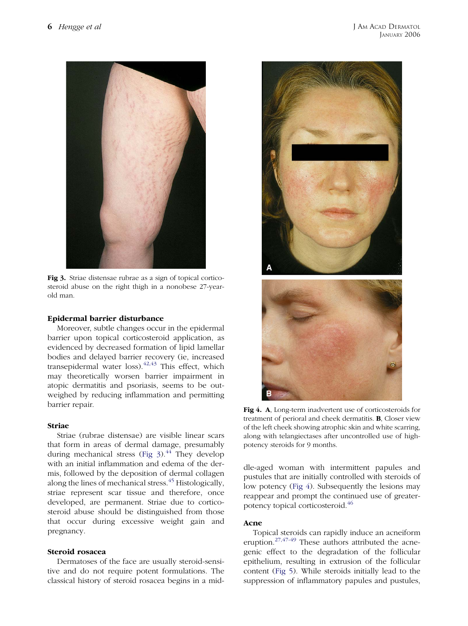

Fig 3. Striae distensae rubrae as a sign of topical corticosteroid abuse on the right thigh in a nonobese 27-yearold man.

# Epidermal barrier disturbance

Moreover, subtle changes occur in the epidermal barrier upon topical corticosteroid application, as evidenced by decreased formation of lipid lamellar bodies and delayed barrier recovery (ie, increased transepidermal water  $loss$ ).<sup>[42,43](#page-12-0)</sup> This effect, which may theoretically worsen barrier impairment in atopic dermatitis and psoriasis, seems to be outweighed by reducing inflammation and permitting barrier repair.

#### Striae

Striae (rubrae distensae) are visible linear scars that form in areas of dermal damage, presumably during mechanical stress (Fig  $3$ ).<sup>[44](#page-13-0)</sup> They develop with an initial inflammation and edema of the dermis, followed by the deposition of dermal collagen along the lines of mechanical stress.<sup>[45](#page-13-0)</sup> Histologically, striae represent scar tissue and therefore, once developed, are permanent. Striae due to corticosteroid abuse should be distinguished from those that occur during excessive weight gain and pregnancy.

# Steroid rosacea

Dermatoses of the face are usually steroid-sensitive and do not require potent formulations. The classical history of steroid rosacea begins in a mid-



Fig 4. A, Long-term inadvertent use of corticosteroids for treatment of perioral and cheek dermatitis. B, Closer view of the left cheek showing atrophic skin and white scarring, along with telangiectases after uncontrolled use of highpotency steroids for 9 months.

dle-aged woman with intermittent papules and pustules that are initially controlled with steroids of low potency (Fig 4). Subsequently the lesions may reappear and prompt the continued use of greaterpotency topical corticosteroid[.46](#page-13-0)

#### Acne

Topical steroids can rapidly induce an acneiform eruption.[27,47-49](#page-12-0) These authors attributed the acnegenic effect to the degradation of the follicular epithelium, resulting in extrusion of the follicular content [\(Fig 5](#page-6-0)). While steroids initially lead to the suppression of inflammatory papules and pustules,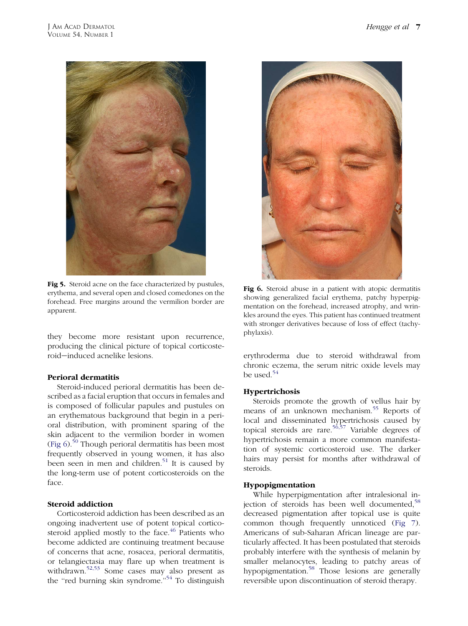<span id="page-6-0"></span>

Fig 5. Steroid acne on the face characterized by pustules, erythema, and several open and closed comedones on the forehead. Free margins around the vermilion border are apparent.

they become more resistant upon recurrence, producing the clinical picture of topical corticosteroid*e*induced acnelike lesions.

# Perioral dermatitis

Steroid-induced perioral dermatitis has been described as a facial eruption that occurs in females and is composed of follicular papules and pustules on an erythematous background that begin in a perioral distribution, with prominent sparing of the skin adjacent to the vermilion border in women (Fig  $6$ ).<sup>[50](#page-13-0)</sup> Though perioral dermatitis has been most frequently observed in young women, it has also been seen in men and children.<sup>[51](#page-13-0)</sup> It is caused by the long-term use of potent corticosteroids on the face.

# Steroid addiction

Corticosteroid addiction has been described as an ongoing inadvertent use of potent topical corticosteroid applied mostly to the face. $46$  Patients who become addicted are continuing treatment because of concerns that acne, rosacea, perioral dermatitis, or telangiectasia may flare up when treatment is withdrawn.<sup>[52,53](#page-13-0)</sup> Some cases may also present as the "red burning skin syndrome."<sup>[54](#page-13-0)</sup> To distinguish



Fig 6. Steroid abuse in a patient with atopic dermatitis showing generalized facial erythema, patchy hyperpigmentation on the forehead, increased atrophy, and wrinkles around the eyes. This patient has continued treatment with stronger derivatives because of loss of effect (tachyphylaxis).

erythroderma due to steroid withdrawal from chronic eczema, the serum nitric oxide levels may be used.<sup>[54](#page-13-0)</sup>

# Hypertrichosis

Steroids promote the growth of vellus hair by means of an unknown mechanism.<sup>[55](#page-13-0)</sup> Reports of local and disseminated hypertrichosis caused by topical steroids are rare.<sup>[56,57](#page-13-0)</sup> Variable degrees of hypertrichosis remain a more common manifestation of systemic corticosteroid use. The darker hairs may persist for months after withdrawal of steroids.

# Hypopigmentation

While hyperpigmentation after intralesional injection of steroids has been well documented, $58$ decreased pigmentation after topical use is quite common though frequently unnoticed ([Fig 7](#page-7-0)). Americans of sub-Saharan African lineage are particularly affected. It has been postulated that steroids probably interfere with the synthesis of melanin by smaller melanocytes, leading to patchy areas of hypopigmentation.[58](#page-13-0) Those lesions are generally reversible upon discontinuation of steroid therapy.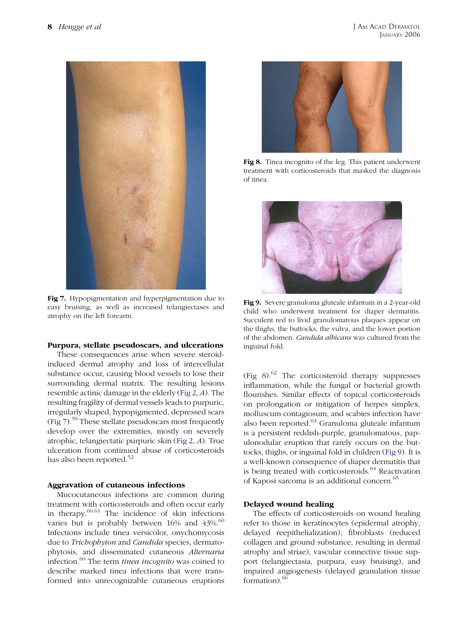<span id="page-7-0"></span>

Fig 7. Hypopigmentation and hyperpigmentation due to easy bruising, as well as increased telangiectases and atrophy on the left forearm.

#### Purpura, stellate pseudoscars, and ulcerations

These consequences arise when severe steroidinduced dermal atrophy and loss of intercellular substance occur, causing blood vessels to lose their surrounding dermal matrix. The resulting lesions resemble actinic damage in the elderly [\(Fig 2](#page-4-0), A). The resulting fragility of dermal vessels leads to purpuric, irregularly shaped, hypopigmented, depressed scars (Fig 7).[59](#page-13-0) These stellate pseudoscars most frequently develop over the extremities, mostly on severely atrophic, telangiectatic purpuric skin ([Fig 2](#page-4-0), A). True ulceration from continued abuse of corticosteroids has also been reported.<sup>[52](#page-13-0)</sup>

#### Aggravation of cutaneous infections

Mucocutaneous infections are common during treatment with corticosteroids and often occur early in therapy. $60,61$  The incidence of skin infections varies but is probably between  $16\%$  and  $43\%$ .<sup>[60](#page-13-0)</sup> Infections include tinea versicolor, onychomycosis due to Trichophyton and Candida species, dermatophytosis, and disseminated cutaneous Alternaria infection.<sup>[60](#page-13-0)</sup> The term tinea incognito was coined to describe marked tinea infections that were transformed into unrecognizable cutaneous eruptions



Fig 8. Tinea incognito of the leg. This patient underwent treatment with corticosteroids that masked the diagnosis of tinea.



Fig 9. Severe granuloma gluteale infantum in a 2-year-old child who underwent treatment for diaper dermatitis. Succulent red to livid granulomatous plaques appear on the thighs, the buttocks, the vulva, and the lower portion of the abdomen. Candida albicans was cultured from the inguinal fold.

(Fig  $8$ ).<sup>[62](#page-13-0)</sup> The corticosteroid therapy suppresses inflammation, while the fungal or bacterial growth flourishes. Similar effects of topical corticosteroids on prolongation or mitigation of herpes simplex, molluscum contagiosum, and scabies infection have also been reported. $^{63}$  $^{63}$  $^{63}$  Granuloma gluteale infantum is a persistent reddish-purple, granulomatous, papulonodular eruption that rarely occurs on the buttocks, thighs, or inguinal fold in children (Fig 9). It is a well-known consequence of diaper dermatitis that is being treated with corticosteroids. $64$  Reactivation of Kaposi sarcoma is an additional concern.[65](#page-13-0)

#### Delayed wound healing

The effects of corticosteroids on wound healing refer to those in keratinocytes (epidermal atrophy, delayed reepithelialization), fibroblasts (reduced collagen and ground substance, resulting in dermal atrophy and striae), vascular connective tissue support (telangiectasia, purpura, easy bruising), and impaired angiogenesis (delayed granulation tissue formation). $66$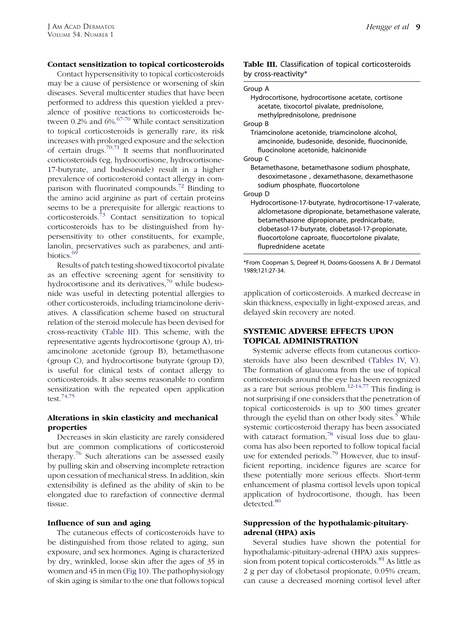# Contact sensitization to topical corticosteroids

Contact hypersensitivity to topical corticosteroids may be a cause of persistence or worsening of skin diseases. Several multicenter studies that have been performed to address this question yielded a prevalence of positive reactions to corticosteroids between  $0.2\%$  and  $6\%$ .<sup>[67-70](#page-13-0)</sup> While contact sensitization to topical corticosteroids is generally rare, its risk increases with prolonged exposure and the selection of certain drugs.<sup>[70,71](#page-13-0)</sup> It seems that nonfluorinated corticosteroids (eg, hydrocortisone, hydrocortisone-17-butyrate, and budesonide) result in a higher prevalence of corticosteroid contact allergy in comparison with fluorinated compounds.[72](#page-13-0) Binding to the amino acid arginine as part of certain proteins seems to be a prerequisite for allergic reactions to corticosteroids.[73](#page-13-0) Contact sensitization to topical corticosteroids has to be distinguished from hypersensitivity to other constituents, for example, lanolin, preservatives such as parabenes, and anti-biotics.<sup>[69](#page-13-0)</sup>

Results of patch testing showed tixocortol pivalate as an effective screening agent for sensitivity to hydrocortisone and its derivatives, $70$  while budesonide was useful in detecting potential allergies to other corticosteroids, including triamcinolone derivatives. A classification scheme based on structural relation of the steroid molecule has been devised for cross-reactivity (Table III). This scheme, with the representative agents hydrocortisone (group A), triamcinolone acetonide (group B), betamethasone (group C), and hydrocortisone butyrate (group D), is useful for clinical tests of contact allergy to corticosteroids. It also seems reasonable to confirm sensitization with the repeated open application test.[74,75](#page-13-0)

# Alterations in skin elasticity and mechanical properties

Decreases in skin elasticity are rarely considered but are common complications of corticosteroid therapy.[76](#page-13-0) Such alterations can be assessed easily by pulling skin and observing incomplete retraction upon cessation of mechanical stress. In addition, skin extensibility is defined as the ability of skin to be elongated due to rarefaction of connective dermal tissue.

#### Influence of sun and aging

The cutaneous effects of corticosteroids have to be distinguished from those related to aging, sun exposure, and sex hormones. Aging is characterized by dry, wrinkled, loose skin after the ages of 35 in women and 45 in men ([Fig 10\)](#page-9-0). The pathophysiology of skin aging is similar to the one that follows topical

#### Group A

| Hydrocortisone, hydrocortisone acetate, cortisone<br>acetate, tixocortol pivalate, prednisolone,<br>methylprednisolone, prednisone                                                                                                                                                            |
|-----------------------------------------------------------------------------------------------------------------------------------------------------------------------------------------------------------------------------------------------------------------------------------------------|
| Group B                                                                                                                                                                                                                                                                                       |
| Triamcinolone acetonide, triamcinolone alcohol,<br>amcinonide, budesonide, desonide, fluocinonide,<br>fluocinolone acetonide, halcinonide                                                                                                                                                     |
| Group C                                                                                                                                                                                                                                                                                       |
| Betamethasone, betamethasone sodium phosphate,<br>desoximetasone, dexamethasone, dexamethasone<br>sodium phosphate, fluocortolone                                                                                                                                                             |
| Group D                                                                                                                                                                                                                                                                                       |
| Hydrocortisone-17-butyrate, hydrocortisone-17-valerate,<br>alclometasone dipropionate, betamethasone valerate,<br>betamethasone dipropionate, prednicarbate,<br>clobetasol-17-butyrate, clobetasol-17-propionate,<br>fluocortolone caproate, fluocortolone pivalate,<br>fluprednidene acetate |
|                                                                                                                                                                                                                                                                                               |

\*From Coopman S, Degreef H, Dooms-Goossens A. Br J Dermatol 1989;121:27-34.

application of corticosteroids. A marked decrease in skin thickness, especially in light-exposed areas, and delayed skin recovery are noted.

# SYSTEMIC ADVERSE EFFECTS UPON TOPICAL ADMINISTRATION

Systemic adverse effects from cutaneous corticosteroids have also been described ([Tables IV, V](#page-9-0)). The formation of glaucoma from the use of topical corticosteroids around the eye has been recognized as a rare but serious problem.<sup>[12-14,77](#page-12-0)</sup> This finding is not surprising if one considers that the penetration of topical corticosteroids is up to 300 times greater through the eyelid than on other body sites.<sup>[5](#page-12-0)</sup> While systemic corticosteroid therapy has been associated with cataract formation, $78$  visual loss due to glaucoma has also been reported to follow topical facial use for extended periods.<sup>[79](#page-13-0)</sup> However, due to insufficient reporting, incidence figures are scarce for these potentially more serious effects. Short-term enhancement of plasma cortisol levels upon topical application of hydrocortisone, though, has been detected.<sup>[80](#page-13-0)</sup>

# Suppression of the hypothalamic-pituitaryadrenal (HPA) axis

Several studies have shown the potential for hypothalamic-pituitary-adrenal (HPA) axis suppres-sion from potent topical corticosteroids.<sup>[81](#page-13-0)</sup> As little as 2 g per day of clobetasol propionate, 0.05% cream, can cause a decreased morning cortisol level after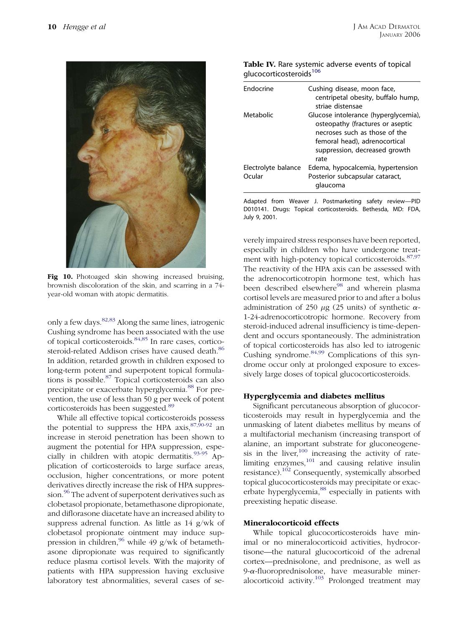<span id="page-9-0"></span>

Fig 10. Photoaged skin showing increased bruising, brownish discoloration of the skin, and scarring in a 74 year-old woman with atopic dermatitis.

only a few days.[82,83](#page-13-0) Along the same lines, iatrogenic Cushing syndrome has been associated with the use of topical corticosteroids.[84,85](#page-13-0) In rare cases, cortico-steroid-related Addison crises have caused death.<sup>[86](#page-13-0)</sup> In addition, retarded growth in children exposed to long-term potent and superpotent topical formulations is possible.[87](#page-13-0) Topical corticosteroids can also precipitate or exacerbate hyperglycemia.<sup>[88](#page-13-0)</sup> For prevention, the use of less than 50 g per week of potent corticosteroids has been suggested.<sup>[89](#page-14-0)</sup>

While all effective topical corticosteroids possess the potential to suppress the HPA  $axis$ ,  $87,90-92$  an increase in steroid penetration has been shown to augment the potential for HPA suppression, especially in children with atopic dermatitis.[93-95](#page-14-0) Application of corticosteroids to large surface areas, occlusion, higher concentrations, or more potent derivatives directly increase the risk of HPA suppres-sion.<sup>[96](#page-14-0)</sup> The advent of superpotent derivatives such as clobetasol propionate, betamethasone dipropionate, and diflorasone diacetate have an increased ability to suppress adrenal function. As little as 14 g/wk of clobetasol propionate ointment may induce suppression in children,<sup>96</sup> while 49 g/wk of betamethasone dipropionate was required to significantly reduce plasma cortisol levels. With the majority of patients with HPA suppression having exclusive laboratory test abnormalities, several cases of se-

| Table IV. Rare systemic adverse events of topical |  |
|---------------------------------------------------|--|
| glucocorticosteroids <sup>106</sup>               |  |

| <b>Fndocrine</b>              | Cushing disease, moon face,<br>centripetal obesity, buffalo hump,<br>striae distensae                                                                                               |
|-------------------------------|-------------------------------------------------------------------------------------------------------------------------------------------------------------------------------------|
| Metabolic                     | Glucose intolerance (hyperglycemia),<br>osteopathy (fractures or aseptic<br>necroses such as those of the<br>femoral head), adrenocortical<br>suppression, decreased growth<br>rate |
| Electrolyte balance<br>Ocular | Edema, hypocalcemia, hypertension<br>Posterior subcapsular cataract,<br>glaucoma                                                                                                    |

Adapted from Weaver J. Postmarketing safety review—PID D010141. Drugs: Topical corticosteroids. Bethesda, MD: FDA, July 9, 2001.

verely impaired stress responses have been reported, especially in children who have undergone treat-ment with high-potency topical corticosteroids.<sup>[87,97](#page-13-0)</sup> The reactivity of the HPA axis can be assessed with the adrenocorticotropin hormone test, which has been described elsewhere<sup>[98](#page-14-0)</sup> and wherein plasma cortisol levels are measured prior to and after a bolus administration of 250  $\mu$ g (25 units) of synthetic  $\alpha$ -1-24-adrenocorticotropic hormone. Recovery from steroid-induced adrenal insufficiency is time-dependent and occurs spontaneously. The administration of topical corticosteroids has also led to iatrogenic Cushing syndrome. $84,99$  Complications of this syndrome occur only at prolonged exposure to excessively large doses of topical glucocorticosteroids.

#### Hyperglycemia and diabetes mellitus

Significant percutaneous absorption of glucocorticosteroids may result in hyperglycemia and the unmasking of latent diabetes mellitus by means of a multifactorial mechanism (increasing transport of alanine, an important substrate for gluconeogenesis in the liver, $100$  increasing the activity of ratelimiting enzymes, $101$  and causing relative insulin resistance).<sup>[102](#page-14-0)</sup> Consequently, systemically absorbed topical glucocorticosteroids may precipitate or exac-erbate hyperglycemia,<sup>[88](#page-13-0)</sup> especially in patients with preexisting hepatic disease.

#### Mineralocorticoid effects

While topical glucocorticosteroids have minimal or no mineralocorticoid activities, hydrocortisone—the natural glucocorticoid of the adrenal cortex—prednisolone, and prednisone, as well as  $9$ - $\alpha$ -fluoroprednisolone, have measurable miner- $\frac{1}{2}$  alocorticoid activity.<sup>[103](#page-14-0)</sup> Prolonged treatment may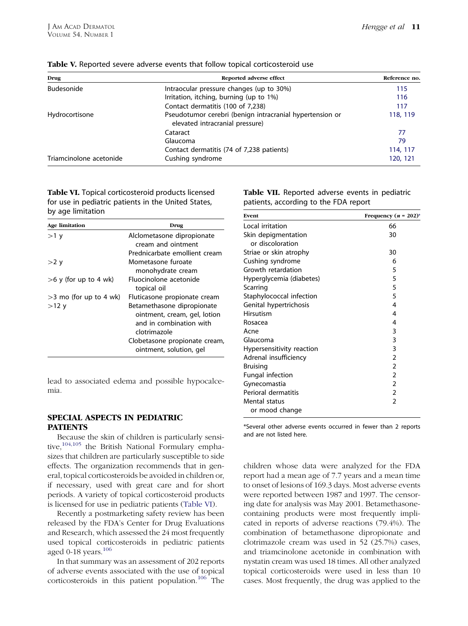| Drug                    | Reported adverse effect                                                                     | Reference no. |
|-------------------------|---------------------------------------------------------------------------------------------|---------------|
| Budesonide              | Intraocular pressure changes (up to 30%)                                                    | 115           |
|                         | Irritation, itching, burning (up to 1%)                                                     | 116           |
|                         | Contact dermatitis (100 of 7,238)                                                           | 117           |
| Hydrocortisone          | Pseudotumor cerebri (benign intracranial hypertension or<br>elevated intracranial pressure) | 118, 119      |
|                         | Cataract                                                                                    | 77            |
|                         | Glaucoma                                                                                    | 79            |
|                         | Contact dermatitis (74 of 7,238 patients)                                                   | 114, 117      |
| Triamcinolone acetonide | Cushing syndrome                                                                            | 120, 121      |

<span id="page-10-0"></span>Table V. Reported severe adverse events that follow topical corticosteroid use

Table VI. Topical corticosteroid products licensed for use in pediatric patients in the United States, by age limitation

| <b>Age limitation</b>     | Drug                                                                                                                                   |
|---------------------------|----------------------------------------------------------------------------------------------------------------------------------------|
| $>1$ y                    | Alclometasone dipropionate<br>cream and ointment                                                                                       |
|                           | Prednicarbate emollient cream                                                                                                          |
| $>2$ y                    | Mometasone furoate<br>monohydrate cream                                                                                                |
| $>6$ y (for up to 4 wk)   | Eluocinolone acetonide<br>topical oil                                                                                                  |
| $>$ 3 mo (for up to 4 wk) | Fluticasone propionate cream                                                                                                           |
| $>12$ y                   | Betamethasone dipropionate<br>ointment, cream, gel, lotion<br>and in combination with<br>clotrimazole<br>Clobetasone propionate cream, |
|                           | ointment, solution, gel                                                                                                                |

lead to associated edema and possible hypocalcemia.

# SPECIAL ASPECTS IN PEDIATRIC PATIENTS

Because the skin of children is particularly sensitive, $104,105$  the British National Formulary emphasizes that children are particularly susceptible to side effects. The organization recommends that in general, topical corticosteroids be avoided in children or, if necessary, used with great care and for short periods. A variety of topical corticosteroid products is licensed for use in pediatric patients (Table VI).

Recently a postmarketing safety review has been released by the FDA's Center for Drug Evaluations and Research, which assessed the 24 most frequently used topical corticosteroids in pediatric patients aged 0-18 years.<sup>[106](#page-14-0)</sup>

In that summary was an assessment of 202 reports of adverse events associated with the use of topical corticosteroids in this patient population. $106$  The

Table VII. Reported adverse events in pediatric patients, according to the FDA report

| Event                     | Frequency $(n = 202)^*$ |
|---------------------------|-------------------------|
| Local irritation          | 66                      |
| Skin depigmentation       | 30                      |
| or discoloration          |                         |
| Striae or skin atrophy    | 30                      |
| Cushing syndrome          | 6                       |
| Growth retardation        | 5                       |
| Hyperglycemia (diabetes)  | 5                       |
| Scarring                  | 5                       |
| Staphylococcal infection  | 5                       |
| Genital hypertrichosis    | 4                       |
| <b>Hirsutism</b>          | 4                       |
| Rosacea                   | 4                       |
| Acne                      | 3                       |
| Glaucoma                  | 3                       |
| Hypersensitivity reaction | 3                       |
| Adrenal insufficiency     | $\overline{2}$          |
| <b>Bruising</b>           | $\overline{2}$          |
| Fungal infection          | $\overline{2}$          |
| Gynecomastia              | $\overline{2}$          |
| Perioral dermatitis       | $\overline{2}$          |
| Mental status             | $\overline{2}$          |
| or mood change            |                         |

\*Several other adverse events occurred in fewer than 2 reports and are not listed here.

children whose data were analyzed for the FDA report had a mean age of 7.7 years and a mean time to onset of lesions of 169.3 days. Most adverse events were reported between 1987 and 1997. The censoring date for analysis was May 2001. Betamethasonecontaining products were most frequently implicated in reports of adverse reactions (79.4%). The combination of betamethasone dipropionate and clotrimazole cream was used in 52 (25.7%) cases, and triamcinolone acetonide in combination with nystatin cream was used 18 times. All other analyzed topical corticosteroids were used in less than 10 cases. Most frequently, the drug was applied to the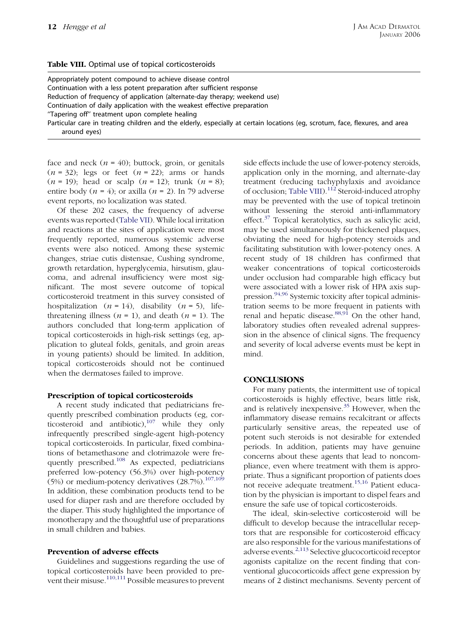#### Table VIII. Optimal use of topical corticosteroids

Appropriately potent compound to achieve disease control Continuation with a less potent preparation after sufficient response Reduction of frequency of application (alternate-day therapy; weekend use) Continuation of daily application with the weakest effective preparation ''Tapering off'' treatment upon complete healing Particular care in treating children and the elderly, especially at certain locations (eg, scrotum, face, flexures, and area around eyes)

face and neck  $(n = 40)$ ; buttock, groin, or genitals  $(n = 32)$ ; legs or feet  $(n = 22)$ ; arms or hands  $(n = 19)$ ; head or scalp  $(n = 12)$ ; trunk  $(n = 8)$ ; entire body  $(n = 4)$ ; or axilla  $(n = 2)$ . In 79 adverse event reports, no localization was stated.

Of these 202 cases, the frequency of adverse events was reported [\(Table VII](#page-10-0)). While local irritation and reactions at the sites of application were most frequently reported, numerous systemic adverse events were also noticed. Among these systemic changes, striae cutis distensae, Cushing syndrome, growth retardation, hyperglycemia, hirsutism, glaucoma, and adrenal insufficiency were most significant. The most severe outcome of topical corticosteroid treatment in this survey consisted of hospitalization  $(n = 14)$ , disability  $(n = 5)$ , lifethreatening illness ( $n = 1$ ), and death ( $n = 1$ ). The authors concluded that long-term application of topical corticosteroids in high-risk settings (eg, application to gluteal folds, genitals, and groin areas in young patients) should be limited. In addition, topical corticosteroids should not be continued when the dermatoses failed to improve.

# Prescription of topical corticosteroids

A recent study indicated that pediatricians frequently prescribed combination products (eg, corticosteroid and antibiotic), $107$  while they only infrequently prescribed single-agent high-potency topical corticosteroids. In particular, fixed combinations of betamethasone and clotrimazole were frequently prescribed.<sup>108</sup> As expected, pediatricians preferred low-potency (56.3%) over high-potency (5%) or medium-potency derivatives  $(28.7\%)$ .<sup>[107,109](#page-14-0)</sup> In addition, these combination products tend to be used for diaper rash and are therefore occluded by the diaper. This study highlighted the importance of monotherapy and the thoughtful use of preparations in small children and babies.

# Prevention of adverse effects

Guidelines and suggestions regarding the use of topical corticosteroids have been provided to prevent their misuse.[110,111](#page-14-0) Possible measures to prevent side effects include the use of lower-potency steroids, application only in the morning, and alternate-day treatment (reducing tachyphylaxis and avoidance of occlusion; Table VIII).[112](#page-14-0) Steroid-induced atrophy may be prevented with the use of topical tretinoin without lessening the steroid anti-inflammatory effect. $37$  Topical keratolytics, such as salicylic acid, may be used simultaneously for thickened plaques, obviating the need for high-potency steroids and facilitating substitution with lower-potency ones. A recent study of 18 children has confirmed that weaker concentrations of topical corticosteroids under occlusion had comparable high efficacy but were associated with a lower risk of HPA axis suppression.[94,96](#page-14-0) Systemic toxicity after topical administration seems to be more frequent in patients with renal and hepatic disease.<sup>[88,91](#page-13-0)</sup> On the other hand, laboratory studies often revealed adrenal suppression in the absence of clinical signs. The frequency and severity of local adverse events must be kept in mind.

# **CONCLUSIONS**

For many patients, the intermittent use of topical corticosteroids is highly effective, bears little risk, and is relatively inexpensive.<sup>[35](#page-12-0)</sup> However, when the inflammatory disease remains recalcitrant or affects particularly sensitive areas, the repeated use of potent such steroids is not desirable for extended periods. In addition, patients may have genuine concerns about these agents that lead to noncompliance, even where treatment with them is appropriate. Thus a significant proportion of patients does not receive adequate treatment.[15,16](#page-12-0) Patient education by the physician is important to dispel fears and ensure the safe use of topical corticosteroids.

The ideal, skin-selective corticosteroid will be difficult to develop because the intracellular receptors that are responsible for corticosteroid efficacy are also responsible for the various manifestations of adverse events.[2,113](#page-12-0) Selective glucocorticoid receptor agonists capitalize on the recent finding that conventional glucocorticoids affect gene expression by means of 2 distinct mechanisms. Seventy percent of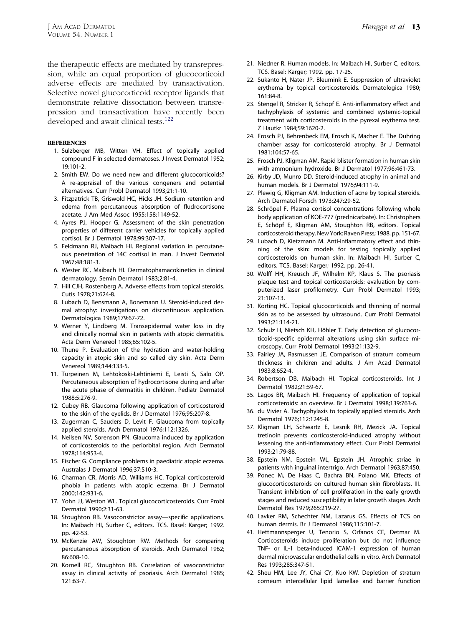<span id="page-12-0"></span>the therapeutic effects are mediated by transrepression, while an equal proportion of glucocorticoid adverse effects are mediated by transactivation. Selective novel glucocorticoid receptor ligands that demonstrate relative dissociation between transrepression and transactivation have recently been developed and await clinical tests.<sup>[122](#page-14-0)</sup>

#### **REFERENCES**

- 1. Sulzberger MB, Witten VH. Effect of topically applied compound F in selected dermatoses. J Invest Dermatol 1952; 19:101-2.
- 2. Smith EW. Do we need new and different glucocorticoids? A re-appraisal of the various congeners and potential alternatives. Curr Probl Dermatol 1993;21:1-10.
- 3. Fitzpatrick TB, Griswold HC, Hicks JH. Sodium retention and edema from percutaneous absorption of fludrocortisone acetate. J Am Med Assoc 1955;158:1149-52.
- 4. Ayres PJ, Hooper G. Assessment of the skin penetration properties of different carrier vehicles for topically applied cortisol. Br J Dermatol 1978;99:307-17.
- 5. Feldmann RJ, Maibach HI. Regional variation in percutaneous penetration of 14C cortisol in man. J Invest Dermatol 1967;48:181-3.
- 6. Wester RC, Maibach HI. Dermatophamacokinetics in clinical dermatology. Semin Dermatol 1983;2:81-4.
- 7. Hill CJH, Rostenberg A. Adverse effects from topical steroids. Cutis 1978;21:624-8.
- 8. Lubach D, Bensmann A, Bonemann U. Steroid-induced dermal atrophy: investigations on discontinuous application. Dermatologica 1989;179:67-72.
- 9. Werner Y, Lindberg M. Transepidermal water loss in dry and clinically normal skin in patients with atopic dermatitis. Acta Derm Venereol 1985;65:102-5.
- 10. Thune P. Evaluation of the hydration and water-holding capacity in atopic skin and so called dry skin. Acta Derm Venereol 1989;144:133-5.
- 11. Turpeinen M, Lehtokoski-Lehtiniemi E, Leisti S, Salo OP. Percutaneous absorption of hydrocortisone during and after the acute phase of dermatitis in children. Pediatr Dermatol 1988;5:276-9.
- 12. Cubey RB. Glaucoma following application of corticosteroid to the skin of the eyelids. Br J Dermatol 1976;95:207-8.
- 13. Zugerman C, Sauders D, Levit F. Glaucoma from topically applied steroids. Arch Dermatol 1976;112:1326.
- 14. Neilsen NV, Sorenson PN. Glaucoma induced by application of corticosteroids to the periorbital region. Arch Dermatol 1978;114:953-4.
- 15. Fischer G. Compliance problems in paediatric atopic eczema. Australas J Dermatol 1996;37:S10-3.
- 16. Charman CR, Morris AD, Williams HC. Topical corticosteroid phobia in patients with atopic eczema. Br J Dermatol 2000;142:931-6.
- 17. Yohn JJ, Weston WL. Topical glucocorticosteroids. Curr Probl Dermatol 1990;2:31-63.
- 18. Stoughton RB. Vasoconstrictor assay—specific applications. In: Maibach HI, Surber C, editors. TCS. Basel: Karger; 1992. pp. 42-53.
- 19. McKenzie AW, Stoughton RW. Methods for comparing percutaneous absorption of steroids. Arch Dermatol 1962; 86:608-10.
- 20. Kornell RC, Stoughton RB. Correlation of vasoconstrictor assay in clinical activity of psoriasis. Arch Dermatol 1985; 121:63-7.
- 21. Niedner R. Human models. In: Maibach HI, Surber C, editors. TCS. Basel: Karger; 1992. pp. 17-25.
- 22. Sukanto H, Nater JP, Bleumink E. Suppression of ultraviolet erythema by topical corticosteroids. Dermatologica 1980; 161:84-8.
- 23. Stengel R, Stricker R, Schopf E. Anti-inflammatory effect and tachyphylaxis of systemic and combined systemic-topical treatment with corticosteroids in the pyrexal erythema test. Z Hautkr 1984;59:1620-2.
- 24. Frosch PJ, Behrenbeck EM, Frosch K, Macher E. The Duhring chamber assay for corticosteroid atrophy. Br J Dermatol 1981;104:57-65.
- 25. Frosch PJ, Kligman AM. Rapid blister formation in human skin with ammonium hydroxide. Br J Dermatol 1977;96:461-73.
- 26. Kirby JD, Munro DD. Steroid-induced atrophy in animal and human models. Br J Dermatol 1976;94:111-9.
- 27. Plewig G, Kligman AM. Induction of acne by topical steroids. Arch Dermatol Forsch 1973;247:29-52.
- 28. Schröpel F. Plasma cortisol concentrations following whole body application of KOE-777 (prednicarbate). In: Christophers E, Schöpf E, Kligman AM, Stoughton RB, editors. Topical corticosteroid therapy. New York: Raven Press; 1988. pp. 151-67.
- 29. Lubach D, Kietzmann M. Anti-inflammatory effect and thinning of the skin: models for testing topically applied corticosteroids on human skin. In: Maibach HI, Surber C, editors. TCS. Basel: Karger; 1992. pp. 26-41.
- 30. Wolff HH, Kreusch JF, Wilhelm KP, Klaus S. The psoriasis plaque test and topical corticosteroids: evaluation by computerized laser profilometry. Curr Probl Dermatol 1993; 21:107-13.
- 31. Korting HC. Topical glucocorticoids and thinning of normal skin as to be assessed by ultrasound. Curr Probl Dermatol 1993;21:114-21.
- 32. Schulz H, Nietsch KH, Höhler T. Early detection of glucocorticoid-specific epidermal alterations using skin surface microscopy. Curr Probl Dermatol 1993;21:132-9.
- 33. Fairley JA, Rasmussen JE. Comparison of stratum corneum thickness in children and adults. J Am Acad Dermatol 1983;8:652-4.
- 34. Robertson DB, Maibach HI. Topical corticosteroids. Int J Dermatol 1982;21:59-67.
- 35. Lagos BR, Maibach HI. Frequency of application of topical corticosteroids: an overview. Br J Dermatol 1998;139:763-6.
- 36. du Vivier A. Tachyphylaxis to topically applied steroids. Arch Dermatol 1976;112:1245-8.
- 37. Kligman LH, Schwartz E, Lesnik RH, Mezick JA. Topical tretinoin prevents corticosteroid-induced atrophy without lessening the anti-inflammatory effect. Curr Probl Dermatol 1993;21:79-88.
- 38. Epstein NM, Epstein WL, Epstein JH. Atrophic striae in patients with inguinal intertrigo. Arch Dermatol 1963;87:450.
- 39. Ponec M, De Haas C, Bachra BN, Polano MK. Effects of glucocorticosteroids on cultured human skin fibroblasts. III. Transient inhibition of cell proliferation in the early growth stages and reduced susceptibility in later growth stages. Arch Dermatol Res 1979;265:219-27.
- 40. Lavker RM, Schechter NM, Lazarus GS. Effects of TCS on human dermis. Br J Dermatol 1986;115:101-7.
- 41. Hettmannsperger U, Tenorio S, Orfanos CE, Detmar M. Corticosteroids induce proliferation but do not influence TNF- or IL-1 beta-induced ICAM-1 expression of human dermal microvascular endothelial cells in vitro. Arch Dermatol Res 1993;285:347-51.
- 42. Sheu HM, Lee JY, Chai CY, Kuo KW. Depletion of stratum corneum intercellular lipid lamellae and barrier function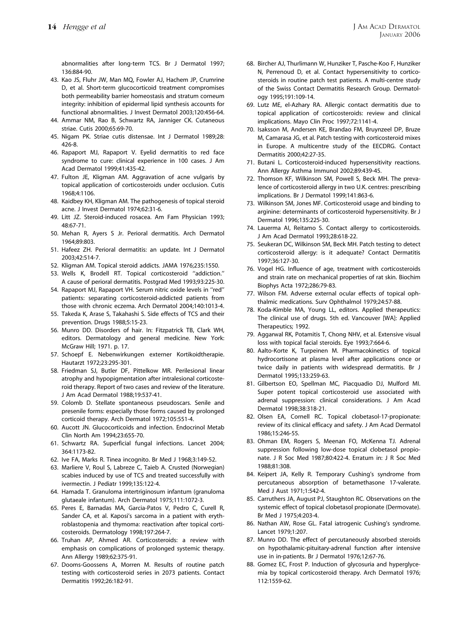<span id="page-13-0"></span>abnormalities after long-term TCS. Br J Dermatol 1997; 136:884-90.

- 43. Kao JS, Fluhr JW, Man MQ, Fowler AJ, Hachem JP, Crumrine D, et al. Short-term glucocorticoid treatment compromises both permeability barrier homeostasis and stratum corneum integrity: inhibition of epidermal lipid synthesis accounts for functional abnormalities. J Invest Dermatol 2003;120:456-64.
- 44. Ammar NM, Rao B, Schwartz RA, Janniger CK. Cutaneous striae. Cutis 2000;65:69-70.
- 45. Nigam PK. Striae cutis distensae. Int J Dermatol 1989;28: 426-8.
- 46. Rapaport MJ, Rapaport V. Eyelid dermatitis to red face syndrome to cure: clinical experience in 100 cases. J Am Acad Dermatol 1999;41:435-42.
- 47. Fulton JE, Kligman AM. Aggravation of acne vulgaris by topical application of corticosteroids under occlusion. Cutis 1968;4:1106.
- 48. Kaidbey KH, Kligman AM. The pathogenesis of topical steroid acne. J Invest Dermatol 1974;62:31-6.
- 49. Litt JZ. Steroid-induced rosacea. Am Fam Physician 1993; 48:67-71.
- 50. Mehan R, Ayers S Jr. Perioral dermatitis. Arch Dermatol 1964;89:803.
- 51. Hafeez ZH. Perioral dermatitis: an update. Int J Dermatol 2003;42:514-7.
- 52. Kligman AM. Topical steroid addicts. JAMA 1976;235:1550.
- 53. Wells K, Brodell RT. Topical corticosteroid ''addiction.'' A cause of perioral dermatitis. Postgrad Med 1993;93:225-30.
- 54. Rapaport MJ, Rapaport VH. Serum nitric oxide levels in ''red'' patients: separating corticosteroid-addicted patients from those with chronic eczema. Arch Dermatol 2004;140:1013-4.
- 55. Takeda K, Arase S, Takahashi S. Side effects of TCS and their prevention. Drugs 1988;5:15-23.
- 56. Munro DD. Disorders of hair. In: Fitzpatrick TB, Clark WH, editors. Dermatology and general medicine. New York: McGraw Hill; 1971. p. 17.
- 57. Schoepf E. Nebenwirkungen externer Kortikoidtherapie. Hautarzt 1972;23:295-301.
- 58. Friedman SJ, Butler DF, Pittelkow MR. Perilesional linear atrophy and hypopigmentation after intralesional corticosteroid therapy. Report of two cases and review of the literature. J Am Acad Dermatol 1988;19:537-41.
- 59. Colomb D. Stellate spontaneous pseudoscars. Senile and presenile forms: especially those forms caused by prolonged corticoid therapy. Arch Dermatol 1972;105:551-4.
- 60. Aucott JN. Glucocorticoids and infection. Endocrinol Metab Clin North Am 1994;23:655-70.
- 61. Schwartz RA. Superficial fungal infections. Lancet 2004; 364:1173-82.
- 62. Ive FA, Marks R. Tinea incognito. Br Med J 1968;3:149-52.
- 63. Marliere V, Roul S, Labreze C, Taieb A. Crusted (Norwegian) scabies induced by use of TCS and treated successfully with ivermectin. J Pediatr 1999;135:122-4.
- 64. Hamada T. Granuloma intertriginosum infantum (granuloma glutaeale infantum). Arch Dermatol 1975;111:1072-3.
- 65. Peres E, Barnadas MA, Garcia-Patos V, Pedro C, Curell R, Sander CA, et al. Kaposi's sarcoma in a patient with erythroblastopenia and thymoma: reactivation after topical corticosteroids. Dermatology 1998;197:264-7.
- 66. Truhan AP, Ahmed AR. Corticosteroids: a review with emphasis on complications of prolonged systemic therapy. Ann Allergy 1989;62:375-91.
- 67. Dooms-Goossens A, Morren M. Results of routine patch testing with corticosteroid series in 2073 patients. Contact Dermatitis 1992;26:182-91.
- 68. Bircher AJ, Thurlimann W, Hunziker T, Pasche-Koo F, Hunziker N, Perrenoud D, et al. Contact hypersensitivity to corticosteroids in routine patch test patients. A multi-centre study of the Swiss Contact Dermatitis Research Group. Dermatology 1995;191:109-14.
- 69. Lutz ME, el-Azhary RA. Allergic contact dermatitis due to topical application of corticosteroids: review and clinical implications. Mayo Clin Proc 1997;72:1141-4.
- 70. Isaksson M, Andersen KE, Brandao FM, Bruynzeel DP, Bruze M, Camarasa JG, et al. Patch testing with corticosteroid mixes in Europe. A multicentre study of the EECDRG. Contact Dermatitis 2000;42:27-35.
- 71. Butani L. Corticosteroid-induced hypersensitivity reactions. Ann Allergy Asthma Immunol 2002;89:439-45.
- 72. Thomson KF, Wilkinson SM, Powell S, Beck MH. The prevalence of corticosteroid allergy in two U.K. centres: prescribing implications. Br J Dermatol 1999;141:863-6.
- 73. Wilkinson SM, Jones MF. Corticosteroid usage and binding to arginine: determinants of corticosteroid hypersensitivity. Br J Dermatol 1996;135:225-30.
- 74. Lauerma AI, Reitamo S. Contact allergy to corticosteroids. J Am Acad Dermatol 1993;28:618-22.
- 75. Seukeran DC, Wilkinson SM, Beck MH. Patch testing to detect corticosteroid allergy: is it adequate? Contact Dermatitis 1997;36:127-30.
- 76. Vogel HG. Influence of age, treatment with corticosteroids and strain rate on mechanical properties of rat skin. Biochim Biophys Acta 1972;286:79-83.
- 77. Wilson FM. Adverse external ocular effects of topical ophthalmic medications. Surv Ophthalmol 1979;24:57-88.
- 78. Koda-Kimble MA, Young LL, editors. Applied therapeutics: The clinical use of drugs. 5th ed. Vancouver [WA]: Applied Therapeutics; 1992.
- 79. Aggarwal RK, Potamitis T, Chong NHV, et al. Extensive visual loss with topical facial steroids. Eye 1993;7:664-6.
- 80. Aalto-Korte K, Turpeinen M. Pharmacokinetics of topical hydrocortisone at plasma level after applications once or twice daily in patients with widespread dermatitis. Br J Dermatol 1995;133:259-63.
- 81. Gilbertson EO, Spellman MC, Piacquadio DJ, Mulford MI. Super potent topical corticosteroid use associated with adrenal suppression: clinical considerations. J Am Acad Dermatol 1998;38:318-21.
- 82. Olsen EA, Cornell RC. Topical clobetasol-17-propionate: review of its clinical efficacy and safety. J Am Acad Dermatol 1986;15:246-55.
- 83. Ohman EM, Rogers S, Meenan FO, McKenna TJ. Adrenal suppression following low-dose topical clobetasol propionate. J R Soc Med 1987;80:422-4. Erratum in: J R Soc Med 1988;81:308.
- 84. Keipert JA, Kelly R. Temporary Cushing's syndrome from percutaneous absorption of betamethasone 17-valerate. Med J Aust 1971;1:542-4.
- 85. Carruthers JA, August PJ, Staughton RC. Observations on the systemic effect of topical clobetasol propionate (Dermovate). Br Med J 1975;4:203-4.
- 86. Nathan AW, Rose GL. Fatal iatrogenic Cushing's syndrome. Lancet 1979;1:207.
- 87. Munro DD. The effect of percutaneously absorbed steroids on hypothalamic-pituitary-adrenal function after intensive use in in-patients. Br J Dermatol 1976;12:67-76.
- 88. Gomez EC, Frost P. Induction of glycosuria and hyperglycemia by topical corticosteroid therapy. Arch Dermatol 1976; 112:1559-62.